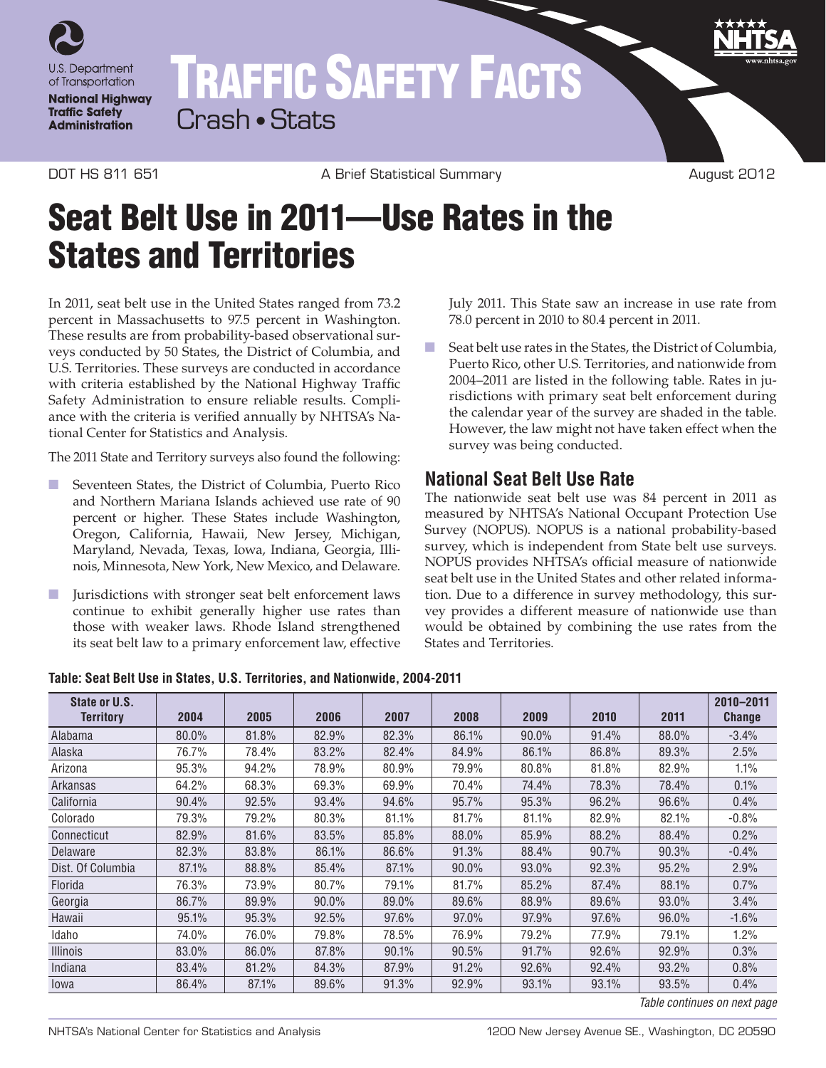

TRAFFIC SAFETY FACTS Crash • Stats

DOT HS 811 651 A Brief Statistical Summary August 2012

## Seat Belt Use in 2011—Use Rates in the States and Territories

In 2011, seat belt use in the United States ranged from 73.2 percent in Massachusetts to 97.5 percent in Washington. These results are from probability-based observational surveys conducted by 50 States, the District of Columbia, and U.S. Territories. These surveys are conducted in accordance with criteria established by the National Highway Traffic Safety Administration to ensure reliable results. Compliance with the criteria is verified annually by NHTSA's National Center for Statistics and Analysis.

The 2011 State and Territory surveys also found the following:

- Seventeen States, the District of Columbia, Puerto Rico and Northern Mariana Islands achieved use rate of 90 percent or higher. These States include Washington, Oregon, California, Hawaii, New Jersey, Michigan, Maryland, Nevada, Texas, Iowa, Indiana, Georgia, Illinois, Minnesota, New York, New Mexico, and Delaware.
- Jurisdictions with stronger seat belt enforcement laws continue to exhibit generally higher use rates than those with weaker laws. Rhode Island strengthened its seat belt law to a primary enforcement law, effective

July 2011. This State saw an increase in use rate from 78.0 percent in 2010 to 80.4 percent in 2011.

■ Seat belt use rates in the States, the District of Columbia, Puerto Rico, other U.S. Territories, and nationwide from 2004–2011 are listed in the following table. Rates in jurisdictions with primary seat belt enforcement during the calendar year of the survey are shaded in the table. However, the law might not have taken effect when the survey was being conducted.

## **National Seat Belt Use Rate**

The nationwide seat belt use was 84 percent in 2011 as measured by NHTSA's National Occupant Protection Use Survey (NOPUS). NOPUS is a national probability-based survey, which is independent from State belt use surveys. NOPUS provides NHTSA's official measure of nationwide seat belt use in the United States and other related information. Due to a difference in survey methodology, this survey provides a different measure of nationwide use than would be obtained by combining the use rates from the States and Territories.

**Table: Seat Belt Use in States, U.S. Territories, and Nationwide, 2004-2011**

| State or U.S.     |       |       |       |       |       |       |       |       | 2010-2011     |
|-------------------|-------|-------|-------|-------|-------|-------|-------|-------|---------------|
| <b>Territory</b>  | 2004  | 2005  | 2006  | 2007  | 2008  | 2009  | 2010  | 2011  | <b>Change</b> |
| Alabama           | 80.0% | 81.8% | 82.9% | 82.3% | 86.1% | 90.0% | 91.4% | 88.0% | $-3.4%$       |
| Alaska            | 76.7% | 78.4% | 83.2% | 82.4% | 84.9% | 86.1% | 86.8% | 89.3% | 2.5%          |
| Arizona           | 95.3% | 94.2% | 78.9% | 80.9% | 79.9% | 80.8% | 81.8% | 82.9% | 1.1%          |
| Arkansas          | 64.2% | 68.3% | 69.3% | 69.9% | 70.4% | 74.4% | 78.3% | 78.4% | 0.1%          |
| California        | 90.4% | 92.5% | 93.4% | 94.6% | 95.7% | 95.3% | 96.2% | 96.6% | 0.4%          |
| Colorado          | 79.3% | 79.2% | 80.3% | 81.1% | 81.7% | 81.1% | 82.9% | 82.1% | $-0.8%$       |
| Connecticut       | 82.9% | 81.6% | 83.5% | 85.8% | 88.0% | 85.9% | 88.2% | 88.4% | 0.2%          |
| Delaware          | 82.3% | 83.8% | 86.1% | 86.6% | 91.3% | 88.4% | 90.7% | 90.3% | $-0.4%$       |
| Dist. Of Columbia | 87.1% | 88.8% | 85.4% | 87.1% | 90.0% | 93.0% | 92.3% | 95.2% | 2.9%          |
| <b>Florida</b>    | 76.3% | 73.9% | 80.7% | 79.1% | 81.7% | 85.2% | 87.4% | 88.1% | 0.7%          |
| Georgia           | 86.7% | 89.9% | 90.0% | 89.0% | 89.6% | 88.9% | 89.6% | 93.0% | 3.4%          |
| Hawaii            | 95.1% | 95.3% | 92.5% | 97.6% | 97.0% | 97.9% | 97.6% | 96.0% | $-1.6%$       |
| Idaho             | 74.0% | 76.0% | 79.8% | 78.5% | 76.9% | 79.2% | 77.9% | 79.1% | 1.2%          |
| <b>Illinois</b>   | 83.0% | 86.0% | 87.8% | 90.1% | 90.5% | 91.7% | 92.6% | 92.9% | 0.3%          |
| Indiana           | 83.4% | 81.2% | 84.3% | 87.9% | 91.2% | 92.6% | 92.4% | 93.2% | 0.8%          |
| lowa              | 86.4% | 87.1% | 89.6% | 91.3% | 92.9% | 93.1% | 93.1% | 93.5% | 0.4%          |

*Table continues on next page*